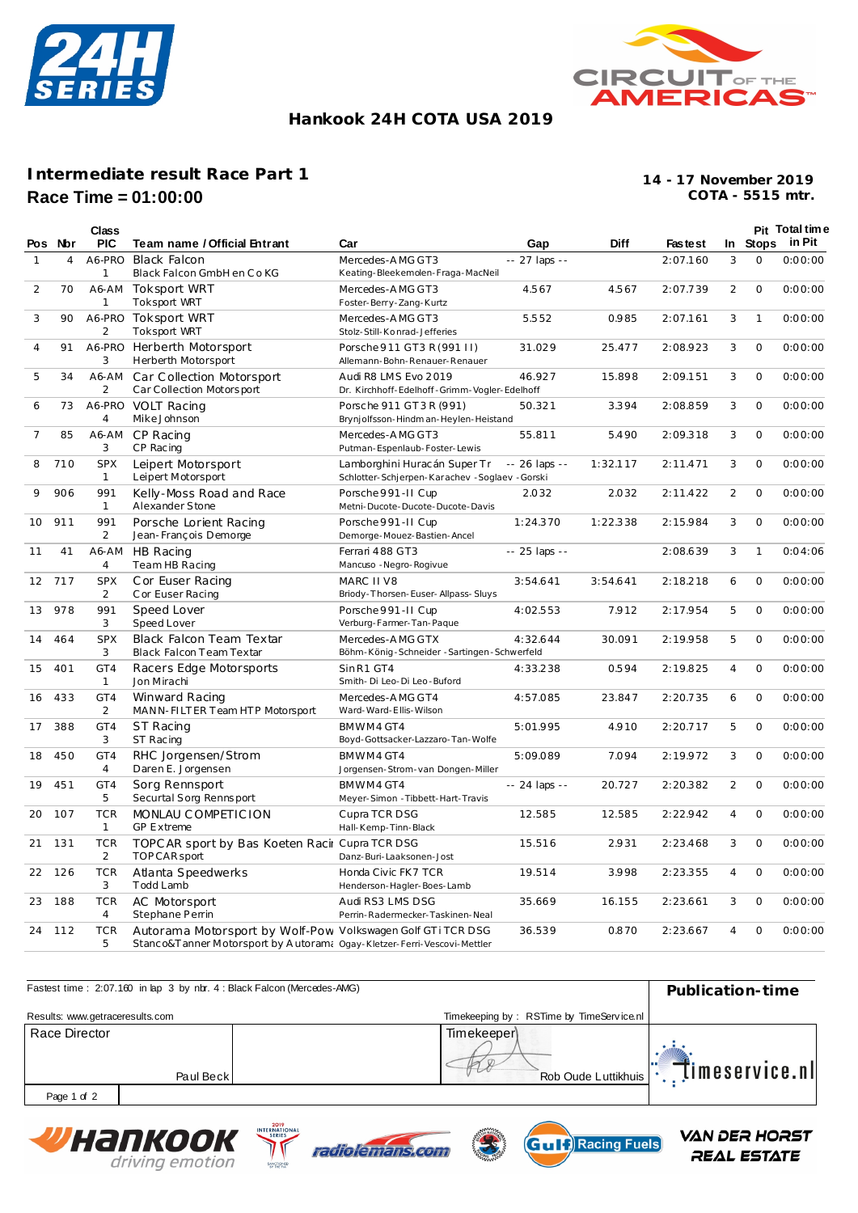



### **Hankook 24H COTA USA 2019**

# **Intermediate result Race Part 1 Race Time = 01:00:00**

**COTA - 5515 mtr. 14 - 17 November 2019**

|              |         | Class                        |                                                                                                                                        |                                                                                 |                |             |          |                |              | Pit Total time  |
|--------------|---------|------------------------------|----------------------------------------------------------------------------------------------------------------------------------------|---------------------------------------------------------------------------------|----------------|-------------|----------|----------------|--------------|-----------------|
|              | Pos Nor | <b>PIC</b>                   | Team name / Official Entrant                                                                                                           | Car                                                                             | Gap            | <b>Diff</b> | Faste st |                |              | In Stops in Pit |
| $\mathbf{1}$ | 4       | A6-PRO<br>$\mathbf{1}$       | <b>Black Falcon</b><br>Black Falcon GmbH en Co KG                                                                                      | Mercedes-AMG GT3<br>Keating-Bleekemolen-Fraga-MacNeil                           | $-27$ laps $-$ |             | 2:07.160 | 3              | $\Omega$     | 0:00:00         |
| 2            | 70      | A6-AM<br>$\mathbf{1}$        | <b>Toksport WRT</b><br><b>Toksport WRT</b>                                                                                             | Mercedes-AMG GT3<br>Foster-Berry-Zang-Kurtz                                     | 4.567          | 4.567       | 2:07.739 | $\overline{2}$ | $\circ$      | 0:00:00         |
| 3            | 90      | A6-PRO<br>2                  | Toksport WRT<br><b>Toksport WRT</b>                                                                                                    | Mercedes-AMG GT3<br>Stolz-Still-Konrad-Jefferies                                | 5.552          | 0.985       | 2:07.161 | 3              | $\mathbf{1}$ | 0:00:00         |
| 4            | 91      | A6-PRO<br>3                  | Herberth Motorsport<br>Herberth Motorsport                                                                                             | Porsche 911 GT3 R (991 II)<br>Allemann-Bohn-Renauer-Renauer                     | 31.029         | 25.477      | 2:08.923 | 3              | $\Omega$     | 0:00:00         |
| 5            | 34      | A6-AM<br>$\overline{2}$      | Car Collection Motorsport<br>Car Collection Motorsport                                                                                 | Audi R8 LMS Evo 2019<br>Dr. Kirchhoff-Edelhoff-Grimm-Vogler-Edelhoff            | 46.927         | 15.898      | 2:09.151 | 3              | $\circ$      | 0:00:00         |
| 6            | 73      | A6-PRO<br>4                  | VOLT Racing<br>MikeJohnson                                                                                                             | Porsche 911 GT3R (991)<br>Brynjolfsson-Hindman-Heylen-Heistand                  | 50.321         | 3.394       | 2:08.859 | 3              | $\circ$      | 0:00:00         |
| 7            | 85      | A6-AM<br>3                   | CP Racing<br>CP Racing                                                                                                                 | Mercedes-AMG GT3<br>Putman-Espenlaub-Foster-Lewis                               | 55.811         | 5.490       | 2:09.318 | 3              | $\circ$      | 0:00:00         |
| 8            | 710     | <b>SPX</b><br>$\mathbf{1}$   | Leipert Motorsport<br>Leipert Motorsport                                                                                               | Lamborghini Huracán Super Tr<br>Schlotter-Schjerpen-Karachev - Soglaev - Gorski | -- 26 laps --  | 1:32.117    | 2:11.471 | 3              | $\circ$      | 0:00:00         |
| 9            | 906     | 991<br>$\mathbf{1}$          | Kelly-Moss Road and Race<br>Alexander Stone                                                                                            | Porsche 991-II Cup<br>Metni-Ducote-Ducote-Ducote-Davis                          | 2.032          | 2.032       | 2:11.422 | $\overline{2}$ | $\mathbf 0$  | 0:00:00         |
| 10           | 911     | 991<br>2                     | Porsche Lorient Racing<br>Jean-François Demorge                                                                                        | Porsche 991-II Cup<br>Demorge-Mouez-Bastien-Ancel                               | 1:24.370       | 1:22.338    | 2:15.984 | 3              | $\mathsf O$  | 0:00:00         |
| 11           | 41      | A6-AM<br>$\overline{4}$      | <b>HB Racing</b><br>Team HB Racing                                                                                                     | Ferrari 488 GT3<br>Mancuso - Negro-Rogivue                                      | -- 25 laps --  |             | 2:08.639 | 3              | $\mathbf{1}$ | 0:04:06         |
| 12           | 717     | <b>SPX</b><br>2              | C or Euser Racing<br>C or Euser Racing                                                                                                 | MARC II V8<br>Briody-Thorsen-Euser-Allpass-Sluys                                | 3:54.641       | 3:54.641    | 2:18.218 | 6              | $\mathbf 0$  | 0:00:00         |
| 13           | 978     | 991<br>3                     | Speed Lover<br>Speed Lover                                                                                                             | Porsche 991-II Cup<br>Verburg-Farmer-Tan-Paque                                  | 4:02.553       | 7.912       | 2:17.954 | 5              | $\circ$      | 0:00:00         |
| 14           | 464     | <b>SPX</b><br>3              | Black Falcon Team Textar<br>Black Falcon Team Textar                                                                                   | Mercedes-AMG GTX<br>Böhm-König-Schneider-Sartingen-Schwerfeld                   | 4:32.644       | 30.091      | 2:19.958 | 5              | $\circ$      | 0:00:00         |
| 15           | 401     | GT4<br>$\mathbf{1}$          | Racers Edge Motorsports<br>Jon Mirachi                                                                                                 | SinR1 GT4<br>Smith-Di Leo-Di Leo-Buford                                         | 4:33.238       | 0.594       | 2:19.825 | 4              | $\Omega$     | 0:00:00         |
| 16           | 433     | GT4<br>2                     | Winward Racing<br>MANN-FILTER Team HTP Motorsport                                                                                      | Mercedes-AMG GT4<br>Ward-Ward-Ellis-Wilson                                      | 4:57.085       | 23.847      | 2:20.735 | 6              | $\circ$      | 0:00:00         |
| 17           | 388     | GT4<br>3                     | ST Racing<br>ST Racing                                                                                                                 | BMWM4GT4<br>Boyd-Gottsacker-Lazzaro-Tan-Wolfe                                   | 5:01.995       | 4.910       | 2:20.717 | 5              | 0            | 0:00:00         |
| 18           | 450     | GT4<br>$\overline{4}$        | RHC Jorgensen/Strom<br>Daren E. Jorgensen                                                                                              | BMWM4GT4<br>Jorgensen-Strom-van Dongen-Miller                                   | 5:09.089       | 7.094       | 2:19.972 | 3              | $\Omega$     | 0:00:00         |
| 19           | 451     | GT4<br>5                     | Sorg Rennsport<br>Securtal Sorg Rennsport                                                                                              | BMWM4GT4<br>Meyer-Simon - Tibbett-Hart-Travis                                   | $-24$ laps $-$ | 20.727      | 2:20.382 | 2              | $\Omega$     | 0:00:00         |
| 20           | 107     | <b>TCR</b><br>$\mathbf{1}$   | MONLAU COMPETICION<br><b>GP Extreme</b>                                                                                                | Cupra TCR DSG<br>Hall-Kemp-Tinn-Black                                           | 12.585         | 12.585      | 2:22.942 | $\overline{4}$ | $\circ$      | 0:00:00         |
| 21           | 131     | <b>TCR</b><br>2              | TOPC AR sport by Bas Koeten Racir Cupra TCR DSG<br>TOP CAR sport                                                                       | Danz-Buri-Laaksonen-Jost                                                        | 15.516         | 2.931       | 2:23.468 | 3              | $\circ$      | 0:00:00         |
| 22           | 126     | <b>TCR</b><br>3              | Atlanta Speedwerks<br>Todd Lamb                                                                                                        | Honda Civic FK7 TCR<br>Henderson-Hagler-Boes-Lamb                               | 19.514         | 3.998       | 2:23.355 | 4              | $\circ$      | 0:00:00         |
| 23           | 188     | <b>TCR</b><br>$\overline{4}$ | AC Motorsport<br>Stephane Perrin                                                                                                       | Audi RS3 LMS DSG<br>Perrin-Radermecker-Taskinen-Neal                            | 35.669         | 16.155      | 2:23.661 | 3              | $\circ$      | 0:00:00         |
|              | 24 112  | <b>TCR</b><br>5              | Autorama Motorsport by Wolf-Pow Volkswagen Golf GTi TCR DSG<br>Stanco&Tanner Motorsport by Autoram; Ogay-Kletzer-Ferri-Vescovi-Mettler |                                                                                 | 36.539         | 0.870       | 2:23.667 | $\overline{4}$ | $\circ$      | 0:00:00         |

| Fastest time: 2:07.160 in lap 3 by nbr. 4 : Black Falcon (Mercedes-AMG) | Publication-time                         |                 |  |
|-------------------------------------------------------------------------|------------------------------------------|-----------------|--|
| Results: www.getraceresults.com                                         | Timekeeping by: RSTime by TimeService.nl |                 |  |
| Race Director<br>Paul Beck                                              | <b>Timekeeper</b><br>Rob Oude Luttikhuis | Timeservice.nll |  |
| Page 1 of 2                                                             |                                          |                 |  |







**VAN DER HORST** 

REAL ESTATE